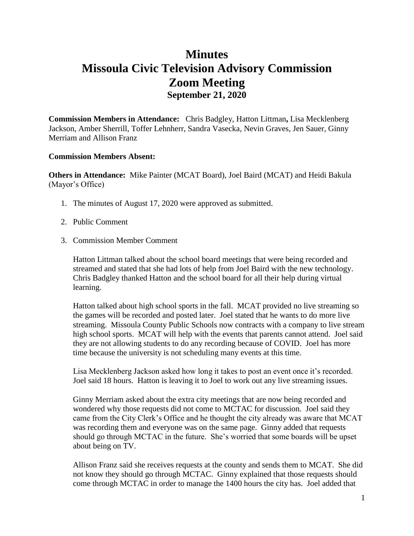## **Minutes Missoula Civic Television Advisory Commission Zoom Meeting September 21, 2020**

**Commission Members in Attendance:** Chris Badgley, Hatton Littman**,** Lisa Mecklenberg Jackson, Amber Sherrill, Toffer Lehnherr, Sandra Vasecka, Nevin Graves, Jen Sauer, Ginny Merriam and Allison Franz

## **Commission Members Absent:**

**Others in Attendance:** Mike Painter (MCAT Board), Joel Baird (MCAT) and Heidi Bakula (Mayor's Office)

- 1. The minutes of August 17, 2020 were approved as submitted.
- 2. Public Comment
- 3. Commission Member Comment

Hatton Littman talked about the school board meetings that were being recorded and streamed and stated that she had lots of help from Joel Baird with the new technology. Chris Badgley thanked Hatton and the school board for all their help during virtual learning.

Hatton talked about high school sports in the fall. MCAT provided no live streaming so the games will be recorded and posted later. Joel stated that he wants to do more live streaming. Missoula County Public Schools now contracts with a company to live stream high school sports. MCAT will help with the events that parents cannot attend. Joel said they are not allowing students to do any recording because of COVID. Joel has more time because the university is not scheduling many events at this time.

Lisa Mecklenberg Jackson asked how long it takes to post an event once it's recorded. Joel said 18 hours. Hatton is leaving it to Joel to work out any live streaming issues.

Ginny Merriam asked about the extra city meetings that are now being recorded and wondered why those requests did not come to MCTAC for discussion. Joel said they came from the City Clerk's Office and he thought the city already was aware that MCAT was recording them and everyone was on the same page. Ginny added that requests should go through MCTAC in the future. She's worried that some boards will be upset about being on TV.

Allison Franz said she receives requests at the county and sends them to MCAT. She did not know they should go through MCTAC. Ginny explained that those requests should come through MCTAC in order to manage the 1400 hours the city has. Joel added that